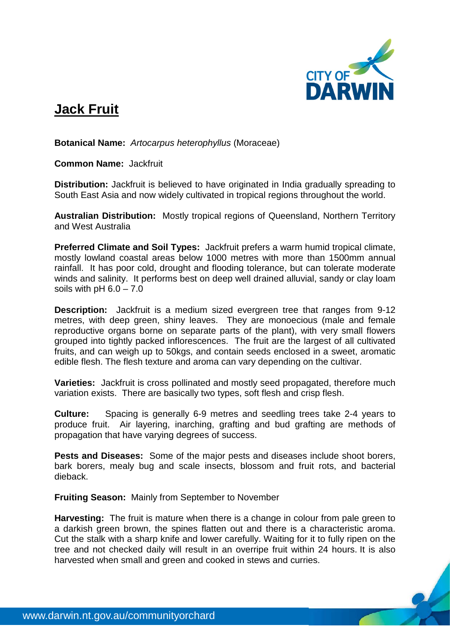

## **Jack Fruit**

**Botanical Name:** *Artocarpus heterophyllus* (Moraceae)

**Common Name:** Jackfruit

**Distribution:** Jackfruit is believed to have originated in India gradually spreading to South East Asia and now widely cultivated in tropical regions throughout the world.

**Australian Distribution:** Mostly tropical regions of Queensland, Northern Territory and West Australia

**Preferred Climate and Soil Types:** Jackfruit prefers a warm humid tropical climate, mostly lowland coastal areas below 1000 metres with more than 1500mm annual rainfall. It has poor cold, drought and flooding tolerance, but can tolerate moderate winds and salinity. It performs best on deep well drained alluvial, sandy or clay loam soils with  $pH 6.0 - 7.0$ 

**Description:** Jackfruit is a medium sized evergreen tree that ranges from 9-12 metres, with deep green, shiny leaves. They are monoecious (male and female reproductive organs borne on separate parts of the plant), with very small flowers grouped into tightly packed inflorescences. The fruit are the largest of all cultivated fruits, and can weigh up to 50kgs, and contain seeds enclosed in a sweet, aromatic edible flesh. The flesh texture and aroma can vary depending on the cultivar.

**Varieties:** Jackfruit is cross pollinated and mostly seed propagated, therefore much variation exists. There are basically two types, soft flesh and crisp flesh.

**Culture:** Spacing is generally 6-9 metres and seedling trees take 2-4 years to produce fruit. Air layering, inarching, grafting and bud grafting are methods of propagation that have varying degrees of success.

**Pests and Diseases:** Some of the major pests and diseases include shoot borers, bark borers, mealy bug and scale insects, blossom and fruit rots, and bacterial dieback.

**Fruiting Season:** Mainly from September to November

**Harvesting:** The fruit is mature when there is a change in colour from pale green to a darkish green brown, the spines flatten out and there is a characteristic aroma. Cut the stalk with a sharp knife and lower carefully. Waiting for it to fully ripen on the tree and not checked daily will result in an overripe fruit within 24 hours. It is also harvested when small and green and cooked in stews and curries.